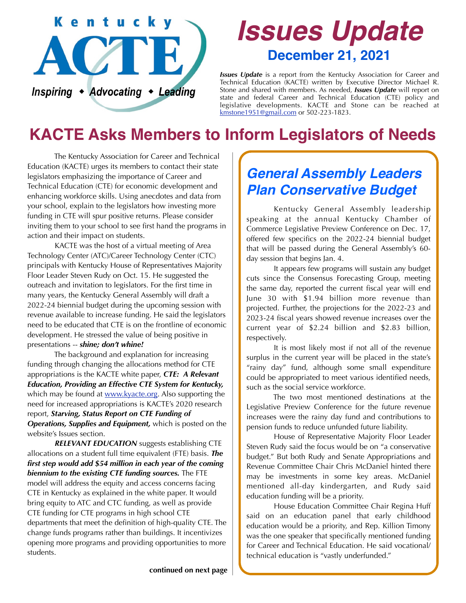

# *Issues Update* **December 21, 2021**

*Issues Update* is a report from the Kentucky Association for Career and Technical Education (KACTE) written by Executive Director Michael R. Stone and shared with members. As needed, *Issues Update* will report on state and federal Career and Technical Education (CTE) policy and legislative developments. KACTE and Stone can be reached at [kmstone1951@gmail.com](mailto:kmstone1951@gmail.com) or 502-223-1823.

## **KACTE Asks Members to Inform Legislators of Needs**

 The Kentucky Association for Career and Technical Education (KACTE) urges its members to contact their state legislators emphasizing the importance of Career and Technical Education (CTE) for economic development and enhancing workforce skills. Using anecdotes and data from your school, explain to the legislators how investing more funding in CTE will spur positive returns. Please consider inviting them to your school to see first hand the programs in action and their impact on students.

 KACTE was the host of a virtual meeting of Area Technology Center (ATC)/Career Technology Center (CTC) principals with Kentucky House of Representatives Majority Floor Leader Steven Rudy on Oct. 15. He suggested the outreach and invitation to legislators. For the first time in many years, the Kentucky General Assembly will draft a 2022-24 biennial budget during the upcoming session with revenue available to increase funding. He said the legislators need to be educated that CTE is on the frontline of economic development. He stressed the value of being positive in presentations -- *shine; don't whine!*

 The background and explanation for increasing funding through changing the allocations method for CTE appropriations is the KACTE white paper, *CTE: A Relevant Education, Providing an Effective CTE System for Kentucky,* which may be found at [www.kyacte.org.](http://www.kyacte.org) Also supporting the need for increased appropriations is KACTE's 2020 research report, *Starving, Status Report on CTE Funding of Operations, Supplies and Equipment,* which is posted on the website's Issues section.

*RELEVANT EDUCATION* suggests establishing CTE allocations on a student full time equivalent (FTE) basis. *The first step would add \$54 million in each year of the coming biennium to the existing CTE funding sources.* The FTE model will address the equity and access concerns facing CTE in Kentucky as explained in the white paper. It would bring equity to ATC and CTC funding, as well as provide CTE funding for CTE programs in high school CTE departments that meet the definition of high-quality CTE. The change funds programs rather than buildings. It incentivizes opening more programs and providing opportunities to more students.

#### *General Assembly Leaders Plan Conservative Budget*

 Kentucky General Assembly leadership speaking at the annual Kentucky Chamber of Commerce Legislative Preview Conference on Dec. 17, offered few specifics on the 2022-24 biennial budget that will be passed during the General Assembly's 60 day session that begins Jan. 4.

 It appears few programs will sustain any budget cuts since the Consensus Forecasting Group, meeting the same day, reported the current fiscal year will end June 30 with \$1.94 billion more revenue than projected. Further, the projections for the 2022-23 and 2023-24 fiscal years showed revenue increases over the current year of \$2.24 billion and \$2.83 billion, respectively.

 It is most likely most if not all of the revenue surplus in the current year will be placed in the state's "rainy day" fund, although some small expenditure could be appropriated to meet various identified needs, such as the social service workforce.

 The two most mentioned destinations at the Legislative Preview Conference for the future revenue increases were the rainy day fund and contributions to pension funds to reduce unfunded future liability.

 House of Representative Majority Floor Leader Steven Rudy said the focus would be on "a conservative budget." But both Rudy and Senate Appropriations and Revenue Committee Chair Chris McDaniel hinted there may be investments in some key areas. McDaniel mentioned all-day kindergarten, and Rudy said education funding will be a priority.

 House Education Committee Chair Regina Huff said on an education panel that early childhood education would be a priority, and Rep. Killion Timony was the one speaker that specifically mentioned funding for Career and Technical Education. He said vocational/ technical education is "vastly underfunded."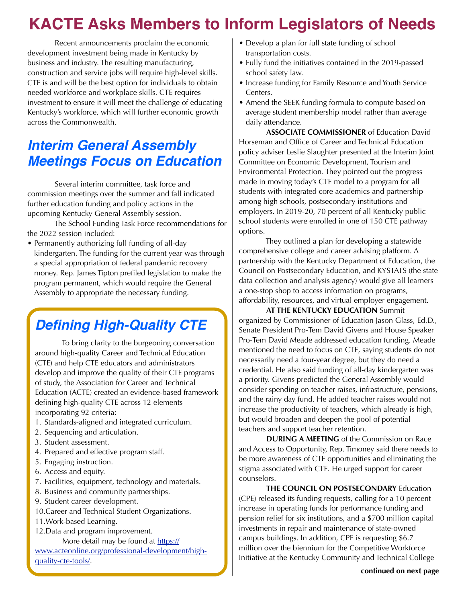## **KACTE Asks Members to Inform Legislators of Needs**

 Recent announcements proclaim the economic development investment being made in Kentucky by business and industry. The resulting manufacturing, construction and service jobs will require high-level skills. CTE is and will be the best option for individuals to obtain needed workforce and workplace skills. CTE requires investment to ensure it will meet the challenge of educating Kentucky's workforce, which will further economic growth across the Commonwealth.

### *Interim General Assembly Meetings Focus on Education*

 Several interim committee, task force and commission meetings over the summer and fall indicated further education funding and policy actions in the upcoming Kentucky General Assembly session.

 The School Funding Task Force recommendations for the 2022 session included:

• Permanently authorizing full funding of all-day kindergarten. The funding for the current year was through a special appropriation of federal pandemic recovery money. Rep. James Tipton prefiled legislation to make the program permanent, which would require the General Assembly to appropriate the necessary funding.

## *Defining High-Quality CTE*

 To bring clarity to the burgeoning conversation around high-quality Career and Technical Education (CTE) and help CTE educators and administrators develop and improve the quality of their CTE programs of study, the Association for Career and Technical Education (ACTE) created an evidence-based framework defining high-quality CTE across 12 elements incorporating 92 criteria:

- 1. Standards-aligned and integrated curriculum.
- 2. Sequencing and articulation.
- 3. Student assessment.
- 4. Prepared and effective program staff.
- 5. Engaging instruction.
- 6. Access and equity.
- 7. Facilities, equipment, technology and materials.
- 8. Business and community partnerships.
- 9. Student career development.
- 10.Career and Technical Student Organizations.
- 11.Work-based Learning.
- 12.Data and program improvement.

More detail may be found at https://

www.acteonline.org/professional-development/highquality-cte-tools/.

- Develop a plan for full state funding of school transportation costs.
- Fully fund the initiatives contained in the 2019-passed school safety law.
- Increase funding for Family Resource and Youth Service Centers.
- Amend the SEEK funding formula to compute based on average student membership model rather than average daily attendance.

**ASSOCIATE COMMISSIONER** of Education David Horseman and Office of Career and Technical Education policy adviser Leslie Slaughter presented at the Interim Joint Committee on Economic Development, Tourism and Environmental Protection. They pointed out the progress made in moving today's CTE model to a program for all students with integrated core academics and partnership among high schools, postsecondary institutions and employers. In 2019-20, 70 percent of all Kentucky public school students were enrolled in one of 150 CTE pathway options.

 They outlined a plan for developing a statewide comprehensive college and career advising platform. A partnership with the Kentucky Department of Education, the Council on Postsecondary Education, and KYSTATS (the state data collection and analysis agency) would give all learners a one-stop shop to access information on programs, affordability, resources, and virtual employer engagement.

 **AT THE KENTUCKY EDUCATION** Summit organized by Commissioner of Education Jason Glass, Ed.D., Senate President Pro-Tem David Givens and House Speaker Pro-Tem David Meade addressed education funding. Meade mentioned the need to focus on CTE, saying students do not necessarily need a four-year degree, but they do need a credential. He also said funding of all-day kindergarten was a priority. Givens predicted the General Assembly would consider spending on teacher raises, infrastructure, pensions, and the rainy day fund. He added teacher raises would not increase the productivity of teachers, which already is high, but would broaden and deepen the pool of potential teachers and support teacher retention.

**DURING A MEETING** of the Commission on Race and Access to Opportunity, Rep. Timoney said there needs to be more awareness of CTE opportunities and eliminating the stigma associated with CTE. He urged support for career counselors.

**THE COUNCIL ON POSTSECONDARY** Education (CPE) released its funding requests, calling for a 10 percent increase in operating funds for performance funding and pension relief for six institutions, and a \$700 million capital investments in repair and maintenance of state-owned campus buildings. In addition, CPE is requesting \$6.7 million over the biennium for the Competitive Workforce Initiative at the Kentucky Community and Technical College